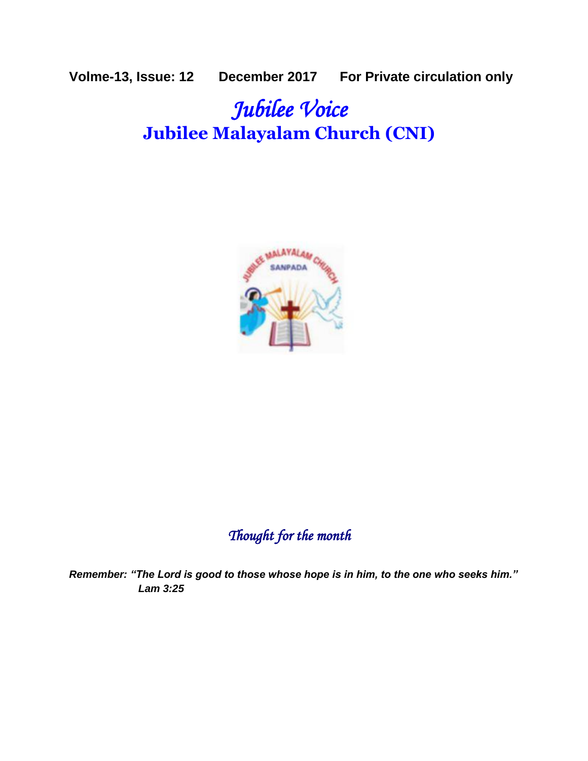**Volme-13, Issue: 12 December 2017 For Private circulation only**

# *Jubilee Voice*  **Jubilee Malayalam Church (CNI)**



# *Thought for the month*

*Remember: "The Lord is good to those whose hope is in him, to the one who seeks him." Lam 3:25*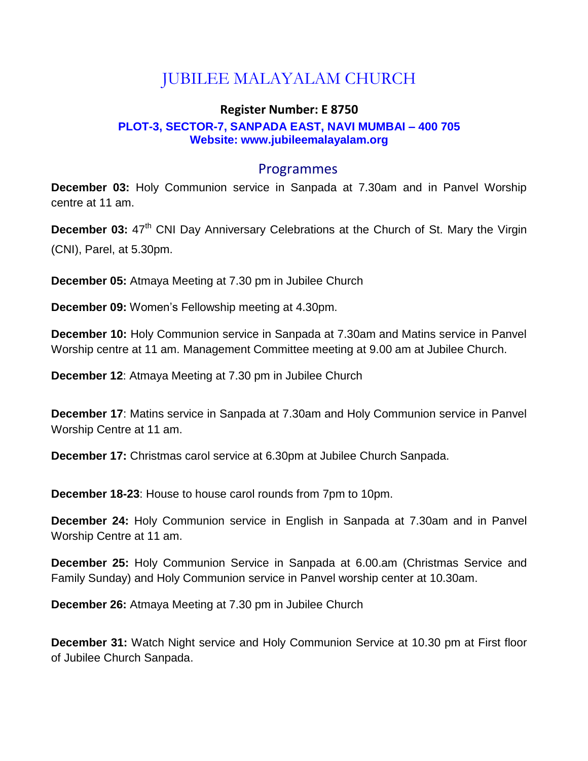# JUBILEE MALAYALAM CHURCH

#### **Register Number: E 8750 PLOT-3, SECTOR-7, SANPADA EAST, NAVI MUMBAI – 400 705 Website: www.jubileemalayalam.org**

#### Programmes

**December 03:** Holy Communion service in Sanpada at 7.30am and in Panvel Worship centre at 11 am.

**December 03:** 47<sup>th</sup> CNI Day Anniversary Celebrations at the Church of St. Mary the Virgin (CNI), Parel, at 5.30pm.

**December 05:** Atmaya Meeting at 7.30 pm in Jubilee Church

**December 09:** Women's Fellowship meeting at 4.30pm.

**December 10:** Holy Communion service in Sanpada at 7.30am and Matins service in Panvel Worship centre at 11 am. Management Committee meeting at 9.00 am at Jubilee Church.

**December 12**: Atmaya Meeting at 7.30 pm in Jubilee Church

**December 17**: Matins service in Sanpada at 7.30am and Holy Communion service in Panvel Worship Centre at 11 am.

**December 17:** Christmas carol service at 6.30pm at Jubilee Church Sanpada.

**December 18-23**: House to house carol rounds from 7pm to 10pm.

**December 24:** Holy Communion service in English in Sanpada at 7.30am and in Panvel Worship Centre at 11 am.

**December 25:** Holy Communion Service in Sanpada at 6.00.am (Christmas Service and Family Sunday) and Holy Communion service in Panvel worship center at 10.30am.

**December 26:** Atmaya Meeting at 7.30 pm in Jubilee Church

**December 31:** Watch Night service and Holy Communion Service at 10.30 pm at First floor of Jubilee Church Sanpada.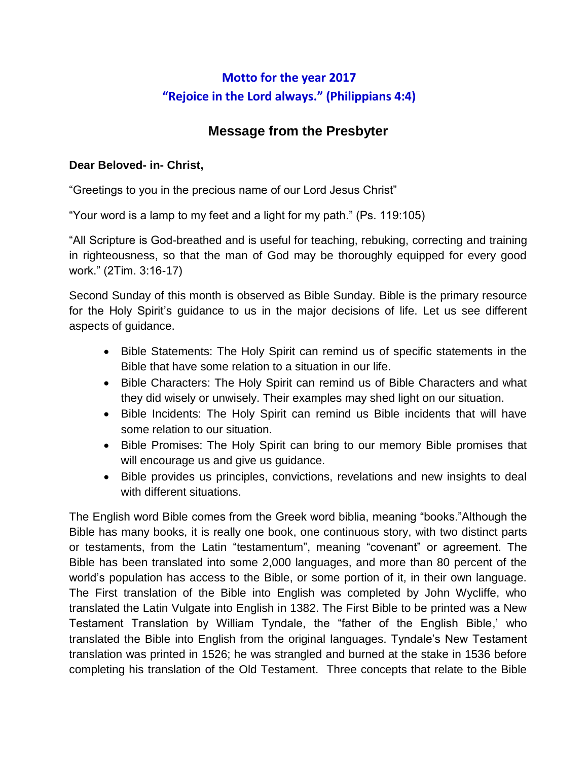# **Motto for the year 2017 "Rejoice in the Lord always." (Philippians 4:4)**

# **Message from the Presbyter**

#### **Dear Beloved- in- Christ,**

"Greetings to you in the precious name of our Lord Jesus Christ"

"Your word is a lamp to my feet and a light for my path." (Ps. 119:105)

"All Scripture is God-breathed and is useful for teaching, rebuking, correcting and training in righteousness, so that the man of God may be thoroughly equipped for every good work." (2Tim. 3:16-17)

Second Sunday of this month is observed as Bible Sunday. Bible is the primary resource for the Holy Spirit's guidance to us in the major decisions of life. Let us see different aspects of guidance.

- Bible Statements: The Holy Spirit can remind us of specific statements in the Bible that have some relation to a situation in our life.
- Bible Characters: The Holy Spirit can remind us of Bible Characters and what they did wisely or unwisely. Their examples may shed light on our situation.
- Bible Incidents: The Holy Spirit can remind us Bible incidents that will have some relation to our situation.
- Bible Promises: The Holy Spirit can bring to our memory Bible promises that will encourage us and give us guidance.
- Bible provides us principles, convictions, revelations and new insights to deal with different situations.

The English word Bible comes from the Greek word biblia, meaning "books."Although the Bible has many books, it is really one book, one continuous story, with two distinct parts or testaments, from the Latin "testamentum", meaning "covenant" or agreement. The Bible has been translated into some 2,000 languages, and more than 80 percent of the world's population has access to the Bible, or some portion of it, in their own language. The First translation of the Bible into English was completed by John Wycliffe, who translated the Latin Vulgate into English in 1382. The First Bible to be printed was a New Testament Translation by William Tyndale, the "father of the English Bible,' who translated the Bible into English from the original languages. Tyndale's New Testament translation was printed in 1526; he was strangled and burned at the stake in 1536 before completing his translation of the Old Testament. Three concepts that relate to the Bible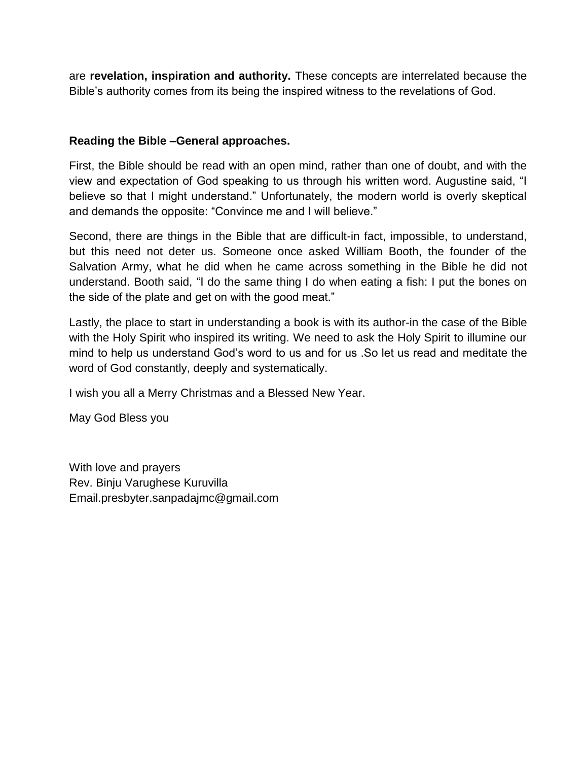are **revelation, inspiration and authority.** These concepts are interrelated because the Bible's authority comes from its being the inspired witness to the revelations of God.

#### **Reading the Bible –General approaches.**

First, the Bible should be read with an open mind, rather than one of doubt, and with the view and expectation of God speaking to us through his written word. Augustine said, "I believe so that I might understand." Unfortunately, the modern world is overly skeptical and demands the opposite: "Convince me and I will believe."

Second, there are things in the Bible that are difficult-in fact, impossible, to understand, but this need not deter us. Someone once asked William Booth, the founder of the Salvation Army, what he did when he came across something in the Bible he did not understand. Booth said, "I do the same thing I do when eating a fish: I put the bones on the side of the plate and get on with the good meat."

Lastly, the place to start in understanding a book is with its author-in the case of the Bible with the Holy Spirit who inspired its writing. We need to ask the Holy Spirit to illumine our mind to help us understand God's word to us and for us .So let us read and meditate the word of God constantly, deeply and systematically.

I wish you all a Merry Christmas and a Blessed New Year.

May God Bless you

With love and prayers Rev. Binju Varughese Kuruvilla Email.presbyter.sanpadajmc@gmail.com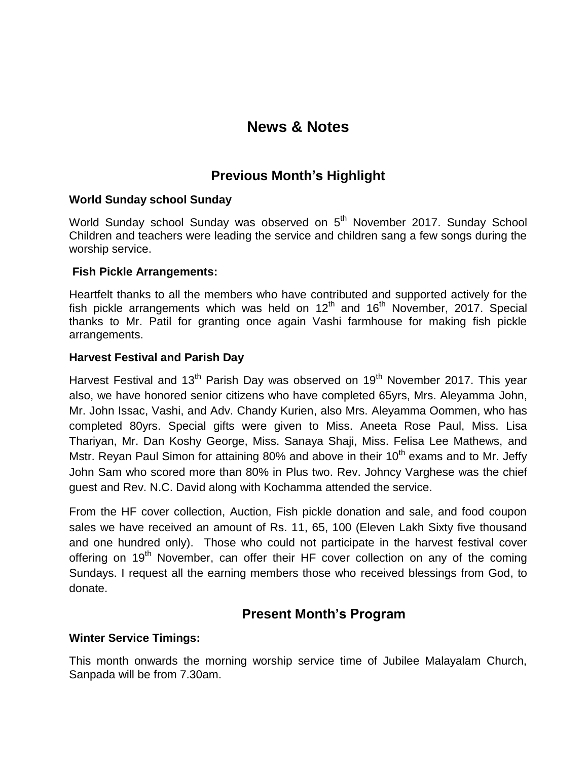# **News & Notes**

## **Previous Month's Highlight**

#### **World Sunday school Sunday**

World Sunday school Sunday was observed on 5<sup>th</sup> November 2017. Sunday School Children and teachers were leading the service and children sang a few songs during the worship service.

#### **Fish Pickle Arrangements:**

Heartfelt thanks to all the members who have contributed and supported actively for the fish pickle arrangements which was held on  $12<sup>th</sup>$  and  $16<sup>th</sup>$  November, 2017. Special thanks to Mr. Patil for granting once again Vashi farmhouse for making fish pickle arrangements.

#### **Harvest Festival and Parish Day**

Harvest Festival and 13<sup>th</sup> Parish Day was observed on 19<sup>th</sup> November 2017. This year also, we have honored senior citizens who have completed 65yrs, Mrs. Aleyamma John, Mr. John Issac, Vashi, and Adv. Chandy Kurien, also Mrs. Aleyamma Oommen, who has completed 80yrs. Special gifts were given to Miss. Aneeta Rose Paul, Miss. Lisa Thariyan, Mr. Dan Koshy George, Miss. Sanaya Shaji, Miss. Felisa Lee Mathews, and Mstr. Reyan Paul Simon for attaining 80% and above in their  $10<sup>th</sup>$  exams and to Mr. Jeffy John Sam who scored more than 80% in Plus two. Rev. Johncy Varghese was the chief guest and Rev. N.C. David along with Kochamma attended the service.

From the HF cover collection, Auction, Fish pickle donation and sale, and food coupon sales we have received an amount of Rs. 11, 65, 100 (Eleven Lakh Sixty five thousand and one hundred only). Those who could not participate in the harvest festival cover offering on  $19<sup>th</sup>$  November, can offer their HF cover collection on any of the coming Sundays. I request all the earning members those who received blessings from God, to donate.

### **Present Month's Program**

#### **Winter Service Timings:**

This month onwards the morning worship service time of Jubilee Malayalam Church, Sanpada will be from 7.30am.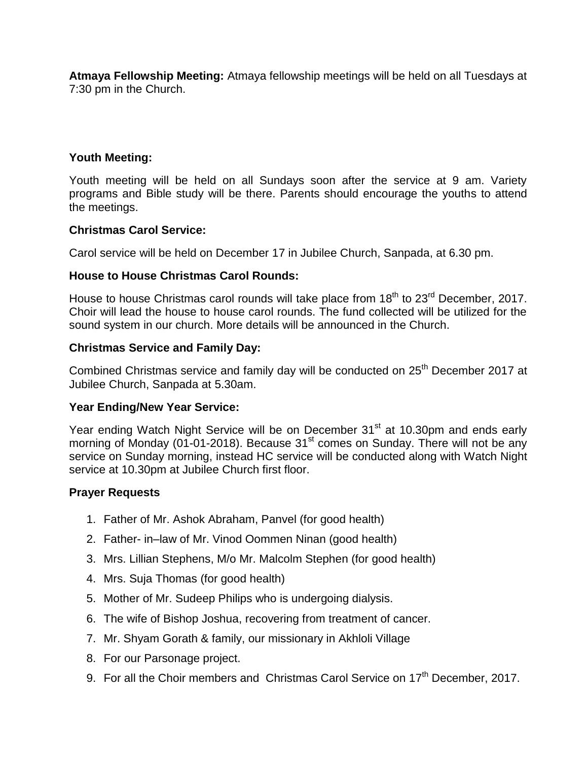**Atmaya Fellowship Meeting:** Atmaya fellowship meetings will be held on all Tuesdays at 7:30 pm in the Church.

#### **Youth Meeting:**

Youth meeting will be held on all Sundays soon after the service at 9 am. Variety programs and Bible study will be there. Parents should encourage the youths to attend the meetings.

#### **Christmas Carol Service:**

Carol service will be held on December 17 in Jubilee Church, Sanpada, at 6.30 pm.

#### **House to House Christmas Carol Rounds:**

House to house Christmas carol rounds will take place from  $18<sup>th</sup>$  to  $23<sup>rd</sup>$  December, 2017. Choir will lead the house to house carol rounds. The fund collected will be utilized for the sound system in our church. More details will be announced in the Church.

#### **Christmas Service and Family Day:**

Combined Christmas service and family day will be conducted on 25<sup>th</sup> December 2017 at Jubilee Church, Sanpada at 5.30am.

#### **Year Ending/New Year Service:**

Year ending Watch Night Service will be on December 31<sup>st</sup> at 10.30pm and ends early morning of Monday (01-01-2018). Because  $31<sup>st</sup>$  comes on Sunday. There will not be any service on Sunday morning, instead HC service will be conducted along with Watch Night service at 10.30pm at Jubilee Church first floor.

#### **Prayer Requests**

- 1. Father of Mr. Ashok Abraham, Panvel (for good health)
- 2. Father- in–law of Mr. Vinod Oommen Ninan (good health)
- 3. Mrs. Lillian Stephens, M/o Mr. Malcolm Stephen (for good health)
- 4. Mrs. Suja Thomas (for good health)
- 5. Mother of Mr. Sudeep Philips who is undergoing dialysis.
- 6. The wife of Bishop Joshua, recovering from treatment of cancer.
- 7. Mr. Shyam Gorath & family, our missionary in Akhloli Village
- 8. For our Parsonage project.
- 9. For all the Choir members and Christmas Carol Service on 17<sup>th</sup> December, 2017.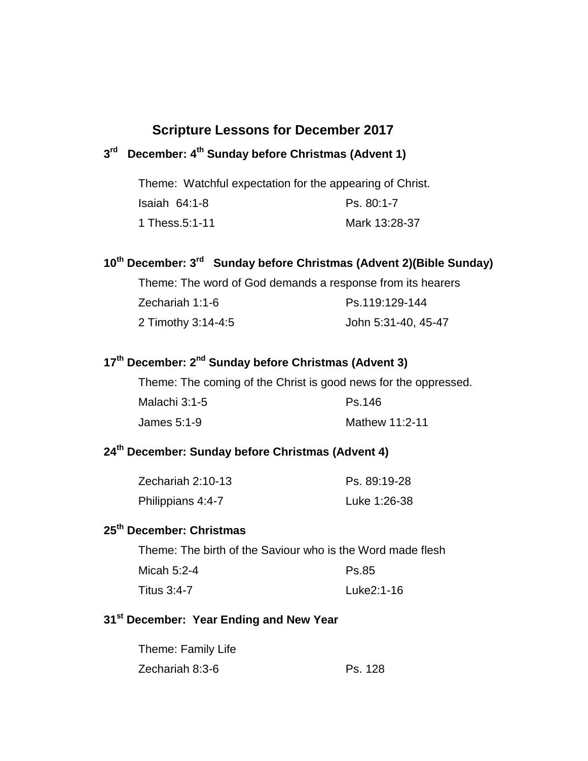# **Scripture Lessons for December 2017**

#### **3 rd December: 4 th Sunday before Christmas (Advent 1)**

Theme: Watchful expectation for the appearing of Christ.

| Isaiah $64:1-8$ | Ps. 80:1-7    |
|-----------------|---------------|
| 1 Thess.5:1-11  | Mark 13:28-37 |

#### **10th December: 3 rd Sunday before Christmas (Advent 2)(Bible Sunday)**

Theme: The word of God demands a response from its hearers

| Zechariah 1:1-6    | Ps.119:129-144      |
|--------------------|---------------------|
| 2 Timothy 3:14-4:5 | John 5:31-40, 45-47 |

#### **17 th December: 2 nd Sunday before Christmas (Advent 3)**

Theme: The coming of the Christ is good news for the oppressed.

| Malachi 3:1-5 | Ps.146         |
|---------------|----------------|
| James 5:1-9   | Mathew 11:2-11 |

# **24th December: Sunday before Christmas (Advent 4)**

| Zechariah 2:10-13 | Ps. 89:19-28 |
|-------------------|--------------|
| Philippians 4:4-7 | Luke 1:26-38 |

# **25th December: Christmas**

Theme: The birth of the Saviour who is the Word made flesh

| Micah 5:2-4 | Ps.85      |
|-------------|------------|
| Titus 3:4-7 | Luke2:1-16 |

# **31st December: Year Ending and New Year**

| Theme: Family Life |         |
|--------------------|---------|
| Zechariah 8:3-6    | Ps. 128 |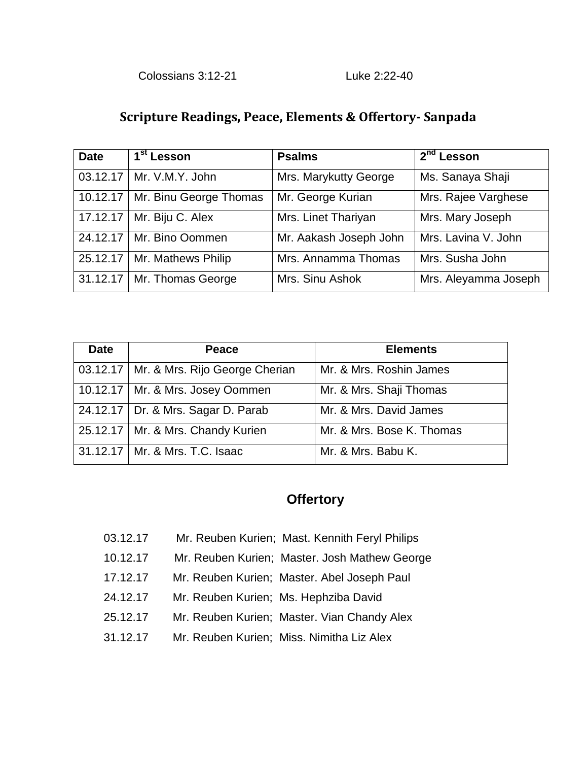### **Scripture Readings, Peace, Elements & Offertory- Sanpada**

| <b>Date</b> | 1 <sup>st</sup> Lesson            | <b>Psalms</b>          | 2 <sup>nd</sup> Lesson |
|-------------|-----------------------------------|------------------------|------------------------|
|             | 03.12.17   Mr. V.M.Y. John        | Mrs. Marykutty George  | Ms. Sanaya Shaji       |
|             | 10.12.17   Mr. Binu George Thomas | Mr. George Kurian      | Mrs. Rajee Varghese    |
| 17.12.17    | Mr. Biju C. Alex                  | Mrs. Linet Thariyan    | Mrs. Mary Joseph       |
|             | 24.12.17   Mr. Bino Oommen        | Mr. Aakash Joseph John | Mrs. Lavina V. John    |
| 25.12.17    | Mr. Mathews Philip                | Mrs. Annamma Thomas    | Mrs. Susha John        |
|             | 31.12.17   Mr. Thomas George      | Mrs. Sinu Ashok        | Mrs. Aleyamma Joseph   |

| <b>Date</b> | Peace                                     | <b>Elements</b>           |
|-------------|-------------------------------------------|---------------------------|
|             | 03.12.17   Mr. & Mrs. Rijo George Cherian | Mr. & Mrs. Roshin James   |
|             | 10.12.17   Mr. & Mrs. Josey Oommen        | Mr. & Mrs. Shaji Thomas   |
|             | 24.12.17   Dr. & Mrs. Sagar D. Parab      | Mr. & Mrs. David James    |
|             | 25.12.17   Mr. & Mrs. Chandy Kurien       | Mr. & Mrs. Bose K. Thomas |
|             | 31.12.17   Mr. & Mrs. T.C. Isaac          | Mr. & Mrs. Babu K.        |

## **Offertory**

- 03.12.17 Mr. Reuben Kurien; Mast. Kennith Feryl Philips
- 10.12.17 Mr. Reuben Kurien; Master. Josh Mathew George
- 17.12.17 Mr. Reuben Kurien; Master. Abel Joseph Paul
- 24.12.17 Mr. Reuben Kurien; Ms. Hephziba David
- 25.12.17 Mr. Reuben Kurien; Master. Vian Chandy Alex
- 31.12.17 Mr. Reuben Kurien; Miss. Nimitha Liz Alex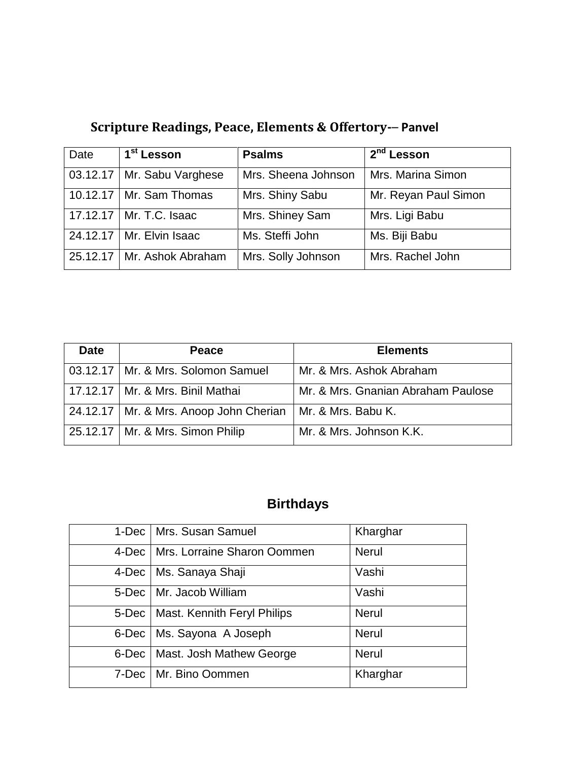| Date | 1 <sup>st</sup> Lesson       | <b>Psalms</b>       | $2nd$ Lesson         |
|------|------------------------------|---------------------|----------------------|
|      | 03.12.17   Mr. Sabu Varghese | Mrs. Sheena Johnson | Mrs. Marina Simon    |
|      | 10.12.17   Mr. Sam Thomas    | Mrs. Shiny Sabu     | Mr. Reyan Paul Simon |
|      | 17.12.17   Mr. T.C. Isaac    | Mrs. Shiney Sam     | Mrs. Ligi Babu       |
|      | 24.12.17   Mr. Elvin Isaac   | Ms. Steffi John     | Ms. Biji Babu        |
|      | 25.12.17   Mr. Ashok Abraham | Mrs. Solly Johnson  | Mrs. Rachel John     |

**Scripture Readings, Peace, Elements & Offertory-**– **Panvel**

| <b>Date</b> | <b>Peace</b>                             | <b>Elements</b>                    |
|-------------|------------------------------------------|------------------------------------|
|             | 03.12.17   Mr. & Mrs. Solomon Samuel     | Mr. & Mrs. Ashok Abraham           |
|             | 17.12.17   Mr. & Mrs. Binil Mathai       | Mr. & Mrs. Gnanian Abraham Paulose |
|             | 24.12.17   Mr. & Mrs. Anoop John Cherian | Mr. & Mrs. Babu K.                 |
|             | 25.12.17   Mr. & Mrs. Simon Philip       | Mr. & Mrs. Johnson K.K.            |

# **Birthdays**

|              | 1-Dec   Mrs. Susan Samuel           | Kharghar     |
|--------------|-------------------------------------|--------------|
|              | 4-Dec   Mrs. Lorraine Sharon Oommen | <b>Nerul</b> |
| 4-Dec        | Ms. Sanaya Shaji                    | Vashi        |
|              | 5-Dec   Mr. Jacob William           | Vashi        |
| $5$ -Dec     | Mast. Kennith Feryl Philips         | <b>Nerul</b> |
| 6-Dec        | Ms. Sayona A Joseph                 | <b>Nerul</b> |
| $6$ -Dec $ $ | Mast. Josh Mathew George            | <b>Nerul</b> |
|              | 7-Dec   Mr. Bino Oommen             | Kharghar     |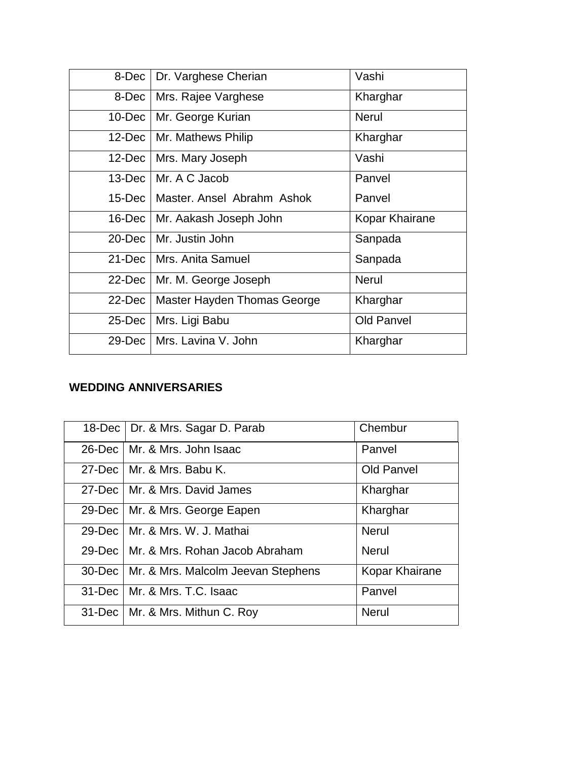| 8-Dec     | Dr. Varghese Cherian        | Vashi             |
|-----------|-----------------------------|-------------------|
| 8-Dec     | Mrs. Rajee Varghese         | Kharghar          |
| 10-Dec    | Mr. George Kurian           | <b>Nerul</b>      |
| 12-Dec    | Mr. Mathews Philip          | Kharghar          |
| $12$ -Dec | Mrs. Mary Joseph            | Vashi             |
| $13$ -Dec | Mr. A C Jacob               | Panvel            |
| 15-Dec    | Master, Ansel Abrahm Ashok  | Panvel            |
| $16$ -Dec | Mr. Aakash Joseph John      | Kopar Khairane    |
| 20-Dec    | l Mr. Justin John           | Sanpada           |
| $21$ -Dec | Mrs. Anita Samuel           | Sanpada           |
| 22-Dec    | Mr. M. George Joseph        | <b>Nerul</b>      |
| 22-Dec    | Master Hayden Thomas George | Kharghar          |
| 25-Dec    | Mrs. Ligi Babu              | <b>Old Panvel</b> |
| 29-Dec    | Mrs. Lavina V. John         | Kharghar          |

#### **WEDDING ANNIVERSARIES**

| 18-Dec   Dr. & Mrs. Sagar D. Parab          | Chembur           |
|---------------------------------------------|-------------------|
| 26-Dec   Mr. & Mrs. John Isaac              | Panvel            |
| 27-Dec   Mr. & Mrs. Babu K.                 | <b>Old Panvel</b> |
| 27-Dec   Mr. & Mrs. David James             | Kharghar          |
| 29-Dec   Mr. & Mrs. George Eapen            | Kharghar          |
| 29-Dec   Mr. & Mrs. W. J. Mathai            | <b>Nerul</b>      |
| 29-Dec   Mr. & Mrs. Rohan Jacob Abraham     | <b>Nerul</b>      |
| 30-Dec   Mr. & Mrs. Malcolm Jeevan Stephens | Kopar Khairane    |
| 31-Dec   Mr. & Mrs. T.C. Isaac              | Panvel            |
| 31-Dec   Mr. & Mrs. Mithun C. Roy           | <b>Nerul</b>      |